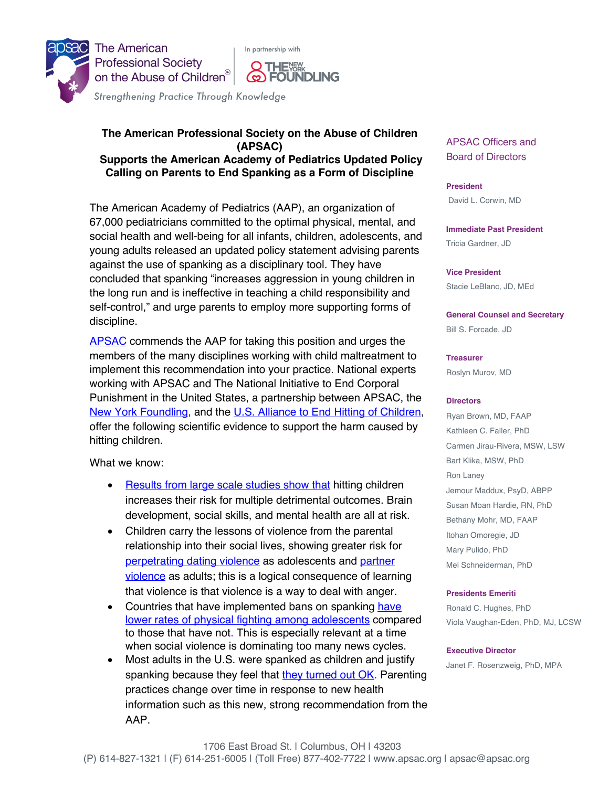

## **The American Professional Society on the Abuse of Children (APSAC) Supports the American Academy of Pediatrics Updated Policy Calling on Parents to End Spanking as a Form of Discipline**

The American Academy of Pediatrics (AAP), an organization of 67,000 pediatricians committed to the optimal physical, mental, and social health and well-being for all infants, children, adolescents, and young adults released an updated policy statement advising parents against the use of spanking as a disciplinary tool. They have concluded that spanking "increases aggression in young children in the long run and is ineffective in teaching a child responsibility and self-control," and urge parents to employ more supporting forms of discipline.

APSAC commends the AAP for taking this position and urges the members of the many disciplines working with child maltreatment to implement this recommendation into your practice. National experts working with APSAC and The National Initiative to End Corporal Punishment in the United States, a partnership between APSAC, the New York Foundling, and the U.S. Alliance to End Hitting of Children, offer the following scientific evidence to support the harm caused by hitting children.

What we know:

- Results from large scale studies show that hitting children increases their risk for multiple detrimental outcomes. Brain development, social skills, and mental health are all at risk.
- Children carry the lessons of violence from the parental relationship into their social lives, showing greater risk for perpetrating dating violence as adolescents and partner violence as adults; this is a logical consequence of learning that violence is that violence is a way to deal with anger.
- Countries that have implemented bans on spanking have lower rates of physical fighting among adolescents compared to those that have not. This is especially relevant at a time when social violence is dominating too many news cycles.
- Most adults in the U.S. were spanked as children and justify spanking because they feel that they turned out OK. Parenting practices change over time in response to new health information such as this new, strong recommendation from the AAP.

APSAC Officers and Board of Directors

**President** David L. Corwin, MD

**Immediate Past President** Tricia Gardner, JD

**Vice President** Stacie LeBlanc, JD, MEd

**General Counsel and Secretary** Bill S. Forcade, JD

**Treasurer** Roslyn Murov, MD

## **Directors**

Ryan Brown, MD, FAAP Kathleen C. Faller, PhD Carmen Jirau-Rivera, MSW, LSW Bart Klika, MSW, PhD Ron Laney Jemour Maddux, PsyD, ABPP Susan Moan Hardie, RN, PhD Bethany Mohr, MD, FAAP Itohan Omoregie, JD Mary Pulido, PhD Mel Schneiderman, PhD

## **Presidents Emeriti**

Ronald C. Hughes, PhD Viola Vaughan-Eden, PhD, MJ, LCSW

**Executive Director** Janet F. Rosenzweig, PhD, MPA